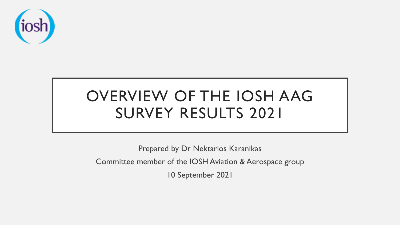

# OVERVIEW OF THE IOSH AAG SURVEY RESULTS 2021

Prepared by Dr Nektarios Karanikas

Committee member of the IOSH Aviation & Aerospace group

10 September 2021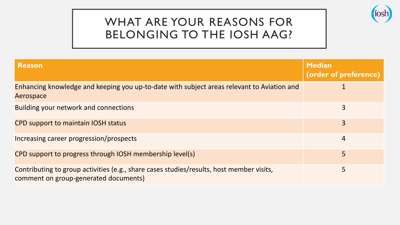## WHAT ARE YOUR REASONS FOR BELONGING TO THE IOSH AAG?



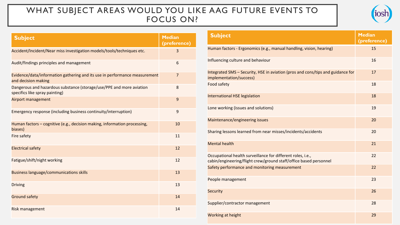#### WHAT SUBJECT AREAS WOULD YOU LIKE AAG FUTURE EVENTS TO FOCUS ON?



| <b>Subject</b>                                                                                         | <b>Median</b><br>(preference) |
|--------------------------------------------------------------------------------------------------------|-------------------------------|
| Accident/Incident/Near miss investigation models/tools/techniques etc.                                 | 3                             |
| Audit/findings principles and management                                                               | 6                             |
| Evidence/data/information gathering and its use in performance measurement<br>and decision making      | $\overline{7}$                |
| Dangerous and hazardous substance (storage/use/PPE and more aviation<br>specifics like spray painting) | 8                             |
| Airport management                                                                                     | 9                             |
| Emergency response (including business continuity/interruption)                                        | 9                             |
| Human factors - cognitive (e.g., decision making, information processing,<br>biases)                   | 10                            |
| <b>Fire safety</b>                                                                                     | 11                            |
| <b>Electrical safety</b>                                                                               | 12                            |
| Fatigue/shift/night working                                                                            | 12                            |
| <b>Business language/communications skills</b>                                                         | 13                            |
| <b>Driving</b>                                                                                         | 13                            |
| <b>Ground safety</b>                                                                                   | 14                            |
| <b>Risk management</b>                                                                                 | 14                            |

| <b>Subject</b>                                                                                                                   | <b>Median</b><br>(preference) |
|----------------------------------------------------------------------------------------------------------------------------------|-------------------------------|
| Human factors - Ergonomics (e.g., manual handling, vision, hearing)                                                              | 15                            |
| Influencing culture and behaviour                                                                                                | 16                            |
| Integrated SMS - Security, HSE in aviation (pros and cons/tips and guidance for<br>implementation/success)                       | 17                            |
| Food safety                                                                                                                      | 18                            |
| <b>International HSE legislation</b>                                                                                             | 18                            |
| Lone working (issues and solutions)                                                                                              | 19                            |
| Maintenance/engineering issues                                                                                                   | 20                            |
| Sharing lessons learned from near misses/incidents/accidents                                                                     | 20                            |
| <b>Mental health</b>                                                                                                             | 21                            |
| Occupational health surveillance for different roles, i.e.,<br>cabin/engineering/flight crew/ground staff/office based personnel | 22                            |
| Safety performance and monitoring measurement                                                                                    | 22                            |
| People management                                                                                                                | 23                            |
| <b>Security</b>                                                                                                                  | 26                            |
| Supplier/contractor management                                                                                                   | 28                            |
| Working at height                                                                                                                | 29                            |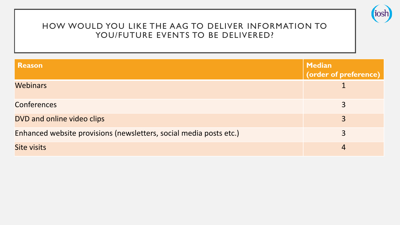

#### HOW WOULD YOU LIKE THE AAG TO DELIVER INFORMATION TO YOU/FUTURE EVENTS TO BE DELIVERED?

| <b>Reason</b>                                                      | <b>Median</b><br>(order of preference) |
|--------------------------------------------------------------------|----------------------------------------|
| <b>Webinars</b>                                                    |                                        |
| <b>Conferences</b>                                                 | 3                                      |
| DVD and online video clips                                         | 3                                      |
| Enhanced website provisions (newsletters, social media posts etc.) | 3                                      |
| <b>Site visits</b>                                                 | 4                                      |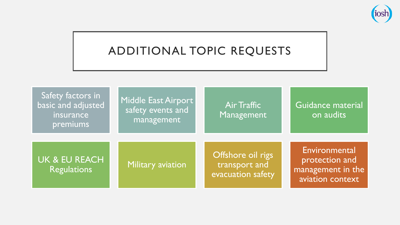

## ADDITIONAL TOPIC REQUESTS

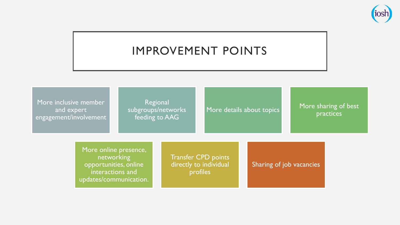

## IMPROVEMENT POINTS

More inclusive member and expert engagement/involvement

Regional subgroups/networks feeding to AAG

#### More details about topics More sharing of best practices

More online presence, networking opportunities, online interactions and updates/communication.

Transfer CPD points directly to individual profiles

Sharing of job vacancies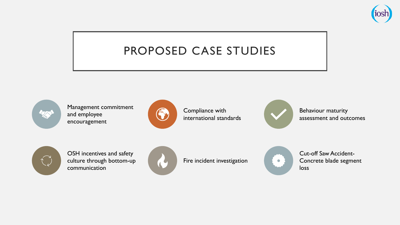

## PROPOSED CASE STUDIES



Management commitment and employee encouragement



Compliance with international standards



Behaviour maturity assessment and outcomes



OSH incentives and safety culture through bottom-up communication



Fire incident investigation



Cut-off Saw Accident-Concrete blade segment loss